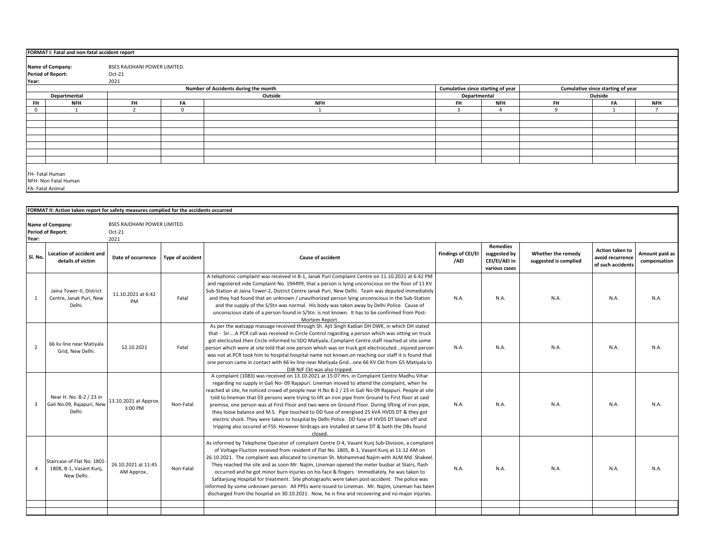|              | FORMAT I: Fatal and non-fatal accident report |                              |          |                                      |                                   |                |           |                                   |            |  |  |  |
|--------------|-----------------------------------------------|------------------------------|----------|--------------------------------------|-----------------------------------|----------------|-----------|-----------------------------------|------------|--|--|--|
|              |                                               |                              |          |                                      |                                   |                |           |                                   |            |  |  |  |
|              | Name of Company:                              | BSES RAJDHANI POWER LIMITED. |          |                                      |                                   |                |           |                                   |            |  |  |  |
|              | <b>Period of Report:</b>                      | Oct-21                       |          |                                      |                                   |                |           |                                   |            |  |  |  |
| Year:        |                                               | 2021                         |          |                                      |                                   |                |           |                                   |            |  |  |  |
|              |                                               |                              |          | Number of Accidents during the month | Cumulative since starting of year |                |           | Cumulative since starting of year |            |  |  |  |
|              | Departmental                                  |                              |          | Outside                              | Outside<br>Departmental           |                |           |                                   |            |  |  |  |
| <b>FH</b>    | <b>NFH</b>                                    | <b>FH</b>                    | FA       | <b>NFH</b>                           | <b>FH</b>                         | <b>NFH</b>     | <b>FH</b> | <b>FA</b>                         | <b>NFH</b> |  |  |  |
| $\mathbf{0}$ |                                               |                              | $\Omega$ |                                      |                                   | $\overline{a}$ |           |                                   |            |  |  |  |
|              |                                               |                              |          |                                      |                                   |                |           |                                   |            |  |  |  |
|              |                                               |                              |          |                                      |                                   |                |           |                                   |            |  |  |  |
|              |                                               |                              |          |                                      |                                   |                |           |                                   |            |  |  |  |
|              |                                               |                              |          |                                      |                                   |                |           |                                   |            |  |  |  |
|              |                                               |                              |          |                                      |                                   |                |           |                                   |            |  |  |  |
|              |                                               |                              |          |                                      |                                   |                |           |                                   |            |  |  |  |
|              |                                               |                              |          |                                      |                                   |                |           |                                   |            |  |  |  |
|              |                                               |                              |          |                                      |                                   |                |           |                                   |            |  |  |  |
|              | FH- Fatal Human                               |                              |          |                                      |                                   |                |           |                                   |            |  |  |  |
|              | NFH- Non Fatal Human                          |                              |          |                                      |                                   |                |           |                                   |            |  |  |  |
|              | FA-Fatal Animal                               |                              |          |                                      |                                   |                |           |                                   |            |  |  |  |

|                | FORMAT II: Action taken report for safety measures complied for the accidents occurred |                                                |                         |                                                                                                                                                                                                                                                                                                                                                                                                                                                                                                                                                                                                                                                                                                                                                                                                                          |                            |                                                                   |                                             |                                                                 |                                |
|----------------|----------------------------------------------------------------------------------------|------------------------------------------------|-------------------------|--------------------------------------------------------------------------------------------------------------------------------------------------------------------------------------------------------------------------------------------------------------------------------------------------------------------------------------------------------------------------------------------------------------------------------------------------------------------------------------------------------------------------------------------------------------------------------------------------------------------------------------------------------------------------------------------------------------------------------------------------------------------------------------------------------------------------|----------------------------|-------------------------------------------------------------------|---------------------------------------------|-----------------------------------------------------------------|--------------------------------|
| Year:          | Name of Company:<br><b>Period of Report:</b>                                           | BSES RAJDHANI POWER LIMITED.<br>Oct-21<br>2021 |                         |                                                                                                                                                                                                                                                                                                                                                                                                                                                                                                                                                                                                                                                                                                                                                                                                                          |                            |                                                                   |                                             |                                                                 |                                |
| Sl. No.        | Location of accident and<br>details of victim                                          | Date of occurrence                             | <b>Type of accident</b> | <b>Cause of accident</b>                                                                                                                                                                                                                                                                                                                                                                                                                                                                                                                                                                                                                                                                                                                                                                                                 | Findings of CEI/EI<br>/AEI | <b>Remedies</b><br>suggested by<br>CEI/EI/AEI in<br>various cases | Whether the remedy<br>suggested is complied | <b>Action taken to</b><br>avoid recurrence<br>of such accidents | Amount paid as<br>compensation |
| 1              | Jaina Tower-II, District<br>Centre, Janak Puri, New<br>Delhi.                          | 11.10.2021 at 6:42<br><b>PM</b>                | Fatal                   | A telephonic complaint was received in B-1, Janak Puri Complaint Centre on 11.10.2021 at 6:42 PM<br>and registered vide Complaint No. 194499, that a person is lying unconscious on the floor of 11 KV<br>Sub-Station at Jaina Tower-2, District Centre Janak Puri, New Delhi. Team was deputed immediately<br>and they had found that an unknown / unauthorized person lying unconscious in the Sub-Station<br>and the supply of the S/Stn was normal. His body was taken away by Delhi Police. Cause of<br>unconscious state of a person found in S/Stn. is not known. It has to be confirmed from Post-<br>Mortem Report.                                                                                                                                                                                             | N.A.                       | N.A.                                                              | N.A.                                        | N.A.                                                            | N.A.                           |
| $\overline{2}$ | 66 kv line near Matiyala<br>Grid, New Delhi.                                           | 12.10.2021                                     | Fatal                   | As per the watsapp massage received through Sh. Ajit Singh Kadian DH DWK, in which DH stated<br>that - SirA PCR call was received in Circle Control regarding a person which was sitting on truck<br>got electcuted.then Circle informed to SDO MatiyalaComplaint Centre staff reached at site.some<br>person which were at site told that one person which was on truck got electrocutedinjured person<br>was not at PCR took him to hospital hospital name not known on reaching our staff it is found that<br>one person came in contact with 66 kv line near Matiyala Gridone 66 KV Ckt from G5 Matiyala to<br>DJB NJF Ckt was also tripped.                                                                                                                                                                         | N.A.                       | N.A.                                                              | N.A.                                        | N.A.                                                            | N.A.                           |
| $\overline{3}$ | Near H. No. B-2 / 23 in<br>Gali No.09, Rajapuri, New<br>Delhi.                         | 13.10.2021 at Approx.<br>3:00 PM               | Non-Fatal               | A complaint (1083) was received on 13.10.2021 at 15:07 Hrs. in Complaint Centre Madhu Vihar<br>regarding no supply in Gali No-09 Rajapuri. Lineman moved to attend the complaint, when he<br>reached at site, he noticed crowd of people near H.No B-2 / 23 in Gali No-09 Rajapuri. People at site<br>told to lineman that 03 persons were trying to lift an iron pipe from Ground to First floor at said<br>premise, one person was at First Floor and two were on Ground Floor. During lifting of iron pipe,<br>they loose balance and M.S. Pipe touched to DD fuse of energised 25 kVA HVDS DT & they got<br>electric shock. They were taken to hospital by Delhi Police. DD fuse of HVDS DT blown off and<br>tripping also occured at FSS. However birdcaps are installed at same DT & both the DBs found<br>closed. | N.A.                       | N.A.                                                              | N.A.                                        | N.A.                                                            | N.A.                           |
| $\overline{4}$ | Staircase of Flat No. 1801<br>1808, B-1, Vasant Kunj,<br>New Delhi.                    | 26.10.2021 at 11:45<br>AM Approx               | Non-Fatal               | As informed by Telephone Operator of complaint Centre D-4, Vasant Kunj Sub-Division, a complaint<br>of Voltage Fluction received from resident of Flat No. 1805, B-1, Vasant Kunj at 11:12 AM on<br>26.10.2021. The complaint was allocated to Lineman Sh. Mohammad Najim with ALM Md. Shakeel.<br>They reached the site and as soon Mr. Najim, Lineman opened the meter busbar at Stairs, flash<br>occurred and he got minor burn injuries on his face & fingers. Immediately, he was taken to<br>Safdarjung Hospital for treatment. Site photograohs were taken post-accident. The police was<br>informed by some unknown person. All PPEs were issued to Lineman. Mr. Najim, Lineman has been<br>discharged from the hospital on 30.10.2021. Now, he is fine and recovering and no major injuries.                    | N.A.                       | N.A.                                                              | N.A.                                        | N.A.                                                            | N.A.                           |
|                |                                                                                        |                                                |                         |                                                                                                                                                                                                                                                                                                                                                                                                                                                                                                                                                                                                                                                                                                                                                                                                                          |                            |                                                                   |                                             |                                                                 |                                |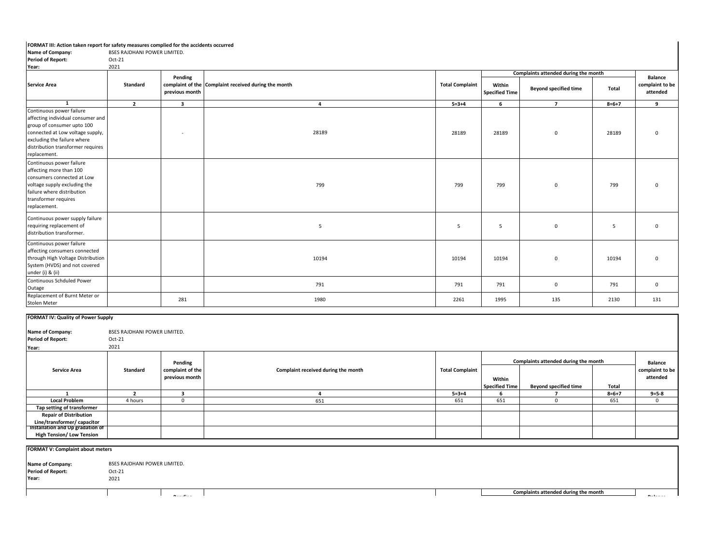## **FORMAT III: Action taken report for safety measures complied for the accidents occurred**

| Name of Company:                                                                                                                                                                                                    | BSES RAJDHANI POWER LIMITED. |                           |                                                      |                        |                                 |                                                                      |             |                                               |
|---------------------------------------------------------------------------------------------------------------------------------------------------------------------------------------------------------------------|------------------------------|---------------------------|------------------------------------------------------|------------------------|---------------------------------|----------------------------------------------------------------------|-------------|-----------------------------------------------|
| <b>Period of Report:</b>                                                                                                                                                                                            | Oct-21                       |                           |                                                      |                        |                                 |                                                                      |             |                                               |
| Year:                                                                                                                                                                                                               | 2021                         |                           |                                                      |                        |                                 |                                                                      |             |                                               |
| <b>Service Area</b>                                                                                                                                                                                                 | Standard                     | Pending<br>previous month | complaint of the Complaint received during the month | <b>Total Complaint</b> | Within<br><b>Specified Time</b> | Complaints attended during the month<br><b>Beyond specified time</b> | Total       | <b>Balance</b><br>complaint to be<br>attended |
|                                                                                                                                                                                                                     |                              |                           |                                                      |                        |                                 |                                                                      |             |                                               |
| $\mathbf{1}$                                                                                                                                                                                                        | $\overline{2}$               | $\overline{\mathbf{3}}$   | $\overline{4}$                                       | $5 = 3 + 4$            | 6                               | $\overline{7}$                                                       | $8 = 6 + 7$ | 9                                             |
| Continuous power failure<br>affecting individual consumer and<br>group of consumer upto 100<br>connected at Low voltage supply,<br>excluding the failure where<br>distribution transformer requires<br>replacement. |                              |                           | 28189                                                | 28189                  | 28189                           | $\mathbf 0$                                                          | 28189       | 0                                             |
| Continuous power failure<br>affecting more than 100<br>consumers connected at Low<br>voltage supply excluding the<br>failure where distribution<br>transformer requires<br>replacement.                             |                              |                           | 799                                                  | 799                    | 799                             | $\mathbf{0}$                                                         | 799         | $\mathbf 0$                                   |
| Continuous power supply failure<br>requiring replacement of<br>distribution transformer.                                                                                                                            |                              |                           | 5                                                    | 5                      | 5                               | $\mathbf 0$                                                          | 5           | 0                                             |
| Continuous power failure<br>affecting consumers connected<br>through High Voltage Distribution<br>System (HVDS) and not covered<br>under (i) & (ii)                                                                 |                              |                           | 10194                                                | 10194                  | 10194                           | $\mathbf{0}$                                                         | 10194       | $\mathbf 0$                                   |
| Continuous Schduled Power<br>Outage                                                                                                                                                                                 |                              |                           | 791                                                  | 791                    | 791                             | $\mathbf{0}$                                                         | 791         | $\mathbf 0$                                   |
| Replacement of Burnt Meter or<br>Stolen Meter                                                                                                                                                                       |                              | 281                       | 1980                                                 | 2261                   | 1995                            | 135                                                                  | 2130        | 131                                           |

| <b>FORMAT IV: Quality of Power Supply</b> |                                     |                  |                                     |                        |                       |                                      |             |                 |
|-------------------------------------------|-------------------------------------|------------------|-------------------------------------|------------------------|-----------------------|--------------------------------------|-------------|-----------------|
| Name of Company:                          | <b>BSES RAJDHANI POWER LIMITED.</b> |                  |                                     |                        |                       |                                      |             |                 |
| <b>Period of Report:</b>                  | Oct-21                              |                  |                                     |                        |                       |                                      |             |                 |
| Year:                                     | 2021                                |                  |                                     |                        |                       |                                      |             |                 |
|                                           |                                     | Pending          |                                     |                        |                       | Complaints attended during the month |             |                 |
| <b>Service Area</b>                       | Standard                            | complaint of the | Complaint received during the month | <b>Total Complaint</b> |                       |                                      |             | complaint to be |
|                                           |                                     | previous month   |                                     |                        | Within                |                                      |             | attended        |
|                                           |                                     |                  |                                     |                        | <b>Specified Time</b> | <b>Beyond specified time</b>         | Total       |                 |
|                                           |                                     |                  |                                     | $5 = 3 + 4$            |                       |                                      | $8 = 6 + 7$ | $9 = 5 - 8$     |
| <b>Local Problem</b>                      | 4 hours                             | $^{(1)}$         | 651                                 | 651                    | 651                   |                                      | 651         | $\Omega$        |
| Tap setting of transformer                |                                     |                  |                                     |                        |                       |                                      |             |                 |
| <b>Repair of Distribution</b>             |                                     |                  |                                     |                        |                       |                                      |             |                 |
| Line/transformer/ capacitor               |                                     |                  |                                     |                        |                       |                                      |             |                 |
| Installation and Up gradation of          |                                     |                  |                                     |                        |                       |                                      |             |                 |
| <b>High Tension/ Low Tension</b>          |                                     |                  |                                     |                        |                       |                                      |             |                 |

| <b>FORMAT V: Complaint about meters</b> |                              |                                      |                 |
|-----------------------------------------|------------------------------|--------------------------------------|-----------------|
| <b>Name of Company:</b>                 | BSES RAJDHANI POWER LIMITED. |                                      |                 |
| <b>Period of Report:</b>                | Oct-21                       |                                      |                 |
| Year:                                   | 2021                         |                                      |                 |
|                                         |                              |                                      |                 |
|                                         | <b>Barnett Adams</b>         |                                      | <b>Material</b> |
|                                         |                              | Complaints attended during the month |                 |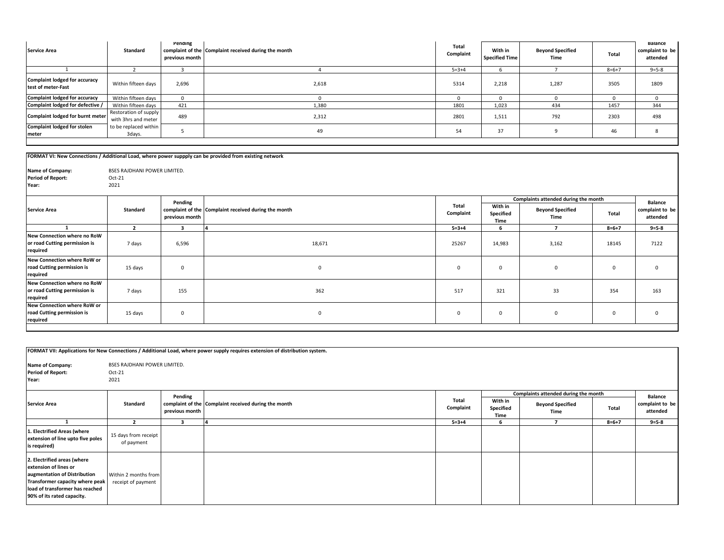| <b>Service Area</b>                                 | Standard                                     | Pending<br>previous month | complaint of the Complaint received during the month | <b>Total</b><br>Complaint | With in<br><b>Specified Time</b> | <b>Beyond Specified</b><br>Time | Total       | Balance<br>complaint to be<br>attended |
|-----------------------------------------------------|----------------------------------------------|---------------------------|------------------------------------------------------|---------------------------|----------------------------------|---------------------------------|-------------|----------------------------------------|
|                                                     |                                              |                           |                                                      | $5 = 3 + 4$               |                                  |                                 | $8 = 6 + 7$ | $9 = 5 - 8$                            |
| Complaint lodged for accuracy<br>test of meter-Fast | Within fifteen days                          | 2,696                     | 2,618                                                | 5314                      | 2,218                            | 1,287                           | 3505        | 1809                                   |
| Complaint lodged for accuracy                       | Within fifteen days                          |                           |                                                      |                           |                                  |                                 |             |                                        |
| Complaint lodged for defective /                    | Within fifteen days                          | 421                       | 1,380                                                | 1801                      | 1,023                            | 434                             | 1457        | 344                                    |
| Complaint lodged for burnt meter                    | Restoration of supply<br>with 3hrs and meter | 489                       | 2,312                                                | 2801                      | 1,511                            | 792                             | 2303        | 498                                    |
| <b>Complaint lodged for stolen</b><br>meter         | to be replaced within<br>3days.              |                           | 49                                                   | 54                        | 37                               |                                 | 46          |                                        |

|                                                                          |                                                |                | FORMAT VI: New Connections / Additional Load, where power suppply can be provided from existing network |              |                   |                                      |             |                             |  |
|--------------------------------------------------------------------------|------------------------------------------------|----------------|---------------------------------------------------------------------------------------------------------|--------------|-------------------|--------------------------------------|-------------|-----------------------------|--|
| Name of Company:<br><b>Period of Report:</b><br>Year:                    | BSES RAJDHANI POWER LIMITED.<br>Oct-21<br>2021 |                |                                                                                                         |              |                   |                                      |             |                             |  |
|                                                                          |                                                | Pending        |                                                                                                         | <b>Total</b> | With in           | Complaints attended during the month |             |                             |  |
| <b>Service Area</b>                                                      | Standard                                       | previous month | complaint of the Complaint received during the month                                                    | Complaint    | Specified<br>Time | <b>Beyond Specified</b><br>Time      | Total       | complaint to be<br>attended |  |
|                                                                          | $\overline{2}$                                 | 3              |                                                                                                         | $5 = 3 + 4$  | 6                 | $\overline{ }$                       | $8 = 6 + 7$ | $9 = 5 - 8$                 |  |
| New Connection where no RoW<br>or road Cutting permission is<br>required | 7 days                                         | 6,596          | 18,671                                                                                                  | 25267        | 14,983            | 3,162                                | 18145       | 7122                        |  |
| New Connection where RoW or<br>road Cutting permission is<br>required    | 15 days                                        | $\Omega$       | $\mathbf{0}$                                                                                            | $\mathbf{0}$ | 0                 | $\Omega$                             | 0           |                             |  |
| New Connection where no RoW<br>or road Cutting permission is<br>required | 7 days                                         | 155            | 362                                                                                                     | 517          | 321               | 33                                   | 354         | 163                         |  |
| New Connection where RoW or<br>road Cutting permission is<br>required    | 15 days                                        | $\mathbf 0$    | $\mathbf 0$                                                                                             | $\mathbf 0$  | 0                 | $\mathbf 0$                          | 0           |                             |  |

|                                                                                                                                                                                          |                                                  |                           | FORMAT VII: Applications for New Connections / Additional Load, where power supply requires extension of distribution system. |                    |                              |                                                                         |             |                                               |  |  |  |
|------------------------------------------------------------------------------------------------------------------------------------------------------------------------------------------|--------------------------------------------------|---------------------------|-------------------------------------------------------------------------------------------------------------------------------|--------------------|------------------------------|-------------------------------------------------------------------------|-------------|-----------------------------------------------|--|--|--|
| Name of Company:<br><b>Period of Report:</b><br>Year:                                                                                                                                    | BSES RAJDHANI POWER LIMITED.<br>$Oct-21$<br>2021 |                           |                                                                                                                               |                    |                              |                                                                         |             |                                               |  |  |  |
| <b>Service Area</b>                                                                                                                                                                      | Standard                                         | Pending<br>previous month | complaint of the Complaint received during the month                                                                          | Total<br>Complaint | With in<br>Specified<br>Time | Complaints attended during the month<br><b>Beyond Specified</b><br>Time | Total       | <b>Balance</b><br>complaint to be<br>attended |  |  |  |
|                                                                                                                                                                                          | $\mathbf{r}$                                     | з                         |                                                                                                                               | $5 = 3 + 4$        | 6                            |                                                                         | $8 = 6 + 7$ | $9 = 5 - 8$                                   |  |  |  |
| 1. Electrified Areas (where<br>extension of line upto five poles<br>is required)                                                                                                         | 15 days from receipt<br>of payment               |                           |                                                                                                                               |                    |                              |                                                                         |             |                                               |  |  |  |
| 2. Electrified areas (where<br>extension of lines or<br>augmentation of Distribution<br>Transformer capacity where peak<br>load of transformer has reached<br>90% of its rated capacity. | Within 2 months from<br>receipt of payment       |                           |                                                                                                                               |                    |                              |                                                                         |             |                                               |  |  |  |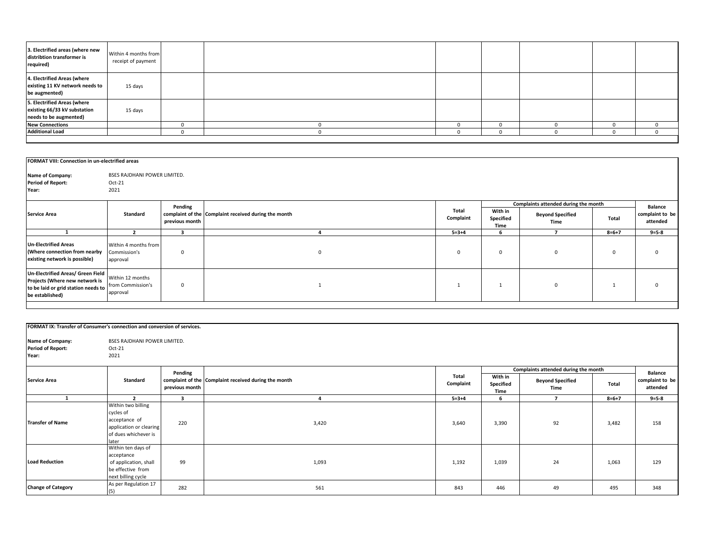| 3. Electrified areas (where new<br>distribtion transformer is<br>required)            | Within 4 months from<br>receipt of payment |  |  |  |  |
|---------------------------------------------------------------------------------------|--------------------------------------------|--|--|--|--|
| 4. Electrified Areas (where<br>existing 11 KV network needs to<br>be augmented)       | 15 days                                    |  |  |  |  |
| 5. Electrified Areas (where<br>existing 66/33 kV substation<br>needs to be augmented) | 15 days                                    |  |  |  |  |
| <b>New Connections</b>                                                                |                                            |  |  |  |  |
| <b>Additional Load</b>                                                                |                                            |  |  |  |  |
|                                                                                       |                                            |  |  |  |  |

| FORMAT VIII: Connection in un-electrified areas                                                                               |                                                   |                           |                                                      |                    |                              |                                                                         |             |                                               |
|-------------------------------------------------------------------------------------------------------------------------------|---------------------------------------------------|---------------------------|------------------------------------------------------|--------------------|------------------------------|-------------------------------------------------------------------------|-------------|-----------------------------------------------|
| Name of Company:<br><b>Period of Report:</b><br>Year:                                                                         | BSES RAJDHANI POWER LIMITED.<br>$Oct-21$<br>2021  |                           |                                                      |                    |                              |                                                                         |             |                                               |
| <b>Service Area</b>                                                                                                           | Standard                                          | Pending<br>previous month | complaint of the Complaint received during the month | Total<br>Complaint | With in<br>Specified<br>Time | Complaints attended during the month<br><b>Beyond Specified</b><br>Time | Total       | <b>Balance</b><br>complaint to be<br>attended |
|                                                                                                                               | $\mathbf{z}$                                      | 3                         |                                                      | $5 = 3 + 4$        | -6                           |                                                                         | $8 = 6 + 7$ | $9 = 5 - 8$                                   |
| <b>Un-Electrified Areas</b><br>(Where connection from nearby<br>existing network is possible)                                 | Within 4 months from<br>Commission's<br>approval  | $\mathbf 0$               | $\Omega$                                             | $\mathbf{0}$       | $^{\circ}$                   | $\Omega$                                                                | $\mathbf 0$ |                                               |
| Un-Electrified Areas/ Green Field<br>Projects (Where new network is<br>to be laid or grid station needs to<br>be established) | Within 12 months<br>from Commission's<br>approval | $\mathbf 0$               |                                                      |                    |                              | $\Omega$                                                                |             |                                               |

| FORMAT IX: Transfer of Consumer's connection and conversion of services. |                                                                                                              |                |                                                      |                    |                              |                                      |             |                             |
|--------------------------------------------------------------------------|--------------------------------------------------------------------------------------------------------------|----------------|------------------------------------------------------|--------------------|------------------------------|--------------------------------------|-------------|-----------------------------|
| Name of Company:<br><b>Period of Report:</b><br>Year:                    | BSES RAJDHANI POWER LIMITED.<br>$Oct-21$<br>2021                                                             |                |                                                      |                    |                              |                                      |             |                             |
|                                                                          |                                                                                                              | Pending        |                                                      |                    |                              | Complaints attended during the month |             | <b>Balance</b>              |
| <b>Service Area</b>                                                      | Standard                                                                                                     | previous month | complaint of the Complaint received during the month | Total<br>Complaint | With in<br>Specified<br>Time | <b>Beyond Specified</b><br>Time      | Total       | complaint to be<br>attended |
|                                                                          | $\mathbf{z}$                                                                                                 | $\mathbf{3}$   | $\mathbf{A}$                                         | $5 = 3 + 4$        | 6                            |                                      | $8 = 6 + 7$ | $9 = 5 - 8$                 |
| <b>Transfer of Name</b>                                                  | Within two billing<br>cycles of<br>acceptance of<br>application or clearing<br>of dues whichever is<br>later | 220            | 3,420                                                | 3,640              | 3,390                        | 92                                   | 3,482       | 158                         |
| <b>Load Reduction</b>                                                    | Within ten days of<br>acceptance<br>of application, shall<br>be effective from<br>next billing cycle         | 99             | 1,093                                                | 1,192              | 1,039                        | 24                                   | 1,063       | 129                         |
| <b>Change of Category</b>                                                | As per Regulation 17<br>(5)                                                                                  | 282            | 561                                                  | 843                | 446                          | 49                                   | 495         | 348                         |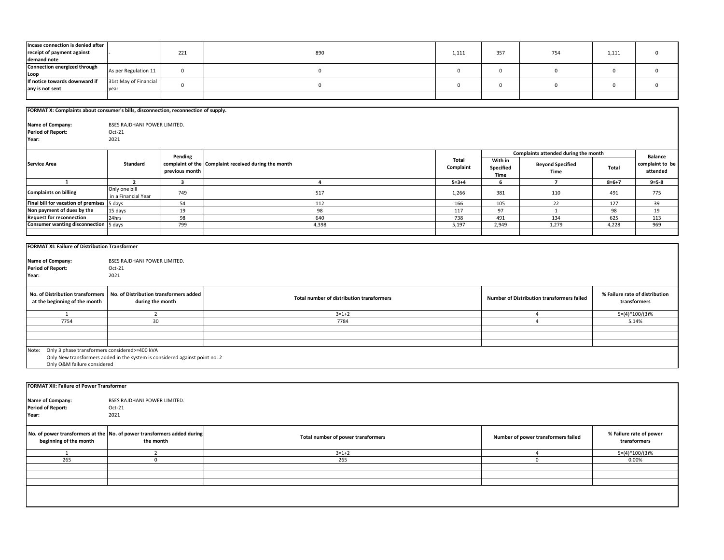| Incase connection is denied after<br>receipt of payment against                                                                                                      |                                                            | 221                       | 890                                                  | 1,111              | 357                          | 754                                        | 1,111       | $\mathsf 0$                                    |
|----------------------------------------------------------------------------------------------------------------------------------------------------------------------|------------------------------------------------------------|---------------------------|------------------------------------------------------|--------------------|------------------------------|--------------------------------------------|-------------|------------------------------------------------|
| demand note<br>Connection energized through                                                                                                                          | As per Regulation 11                                       | $\mathbf 0$               | $\mathbf 0$                                          | $\mathsf 0$        | $\mathsf 0$                  | $\mathsf 0$                                | $\mathbf 0$ | $\mathbf 0$                                    |
| Loop<br>If notice towards downward if                                                                                                                                | 31st May of Financial                                      | $\mathbf 0$               | $\mathbf 0$                                          | $\mathsf 0$        | $\mathbf 0$                  | $\mathsf 0$                                | $\mathbf 0$ | $\mathbf 0$                                    |
| any is not sent                                                                                                                                                      | year                                                       |                           |                                                      |                    |                              |                                            |             |                                                |
|                                                                                                                                                                      |                                                            |                           |                                                      |                    |                              |                                            |             |                                                |
| FORMAT X: Complaints about consumer's bills, disconnection, reconnection of supply.                                                                                  |                                                            |                           |                                                      |                    |                              |                                            |             |                                                |
| Name of Company:<br><b>Period of Report:</b><br>Year:                                                                                                                | BSES RAJDHANI POWER LIMITED.<br>$Oct-21$<br>2021           |                           |                                                      |                    |                              |                                            |             |                                                |
|                                                                                                                                                                      |                                                            |                           |                                                      |                    |                              | Complaints attended during the month       |             |                                                |
| <b>Service Area</b>                                                                                                                                                  | Standard                                                   | Pending<br>previous month | complaint of the Complaint received during the month | Total<br>Complaint | With in<br>Specified<br>Time | <b>Beyond Specified</b><br>Time            | Total       | <b>Balance</b><br>complaint to be<br>attended  |
| $\mathbf{1}$                                                                                                                                                         | $\overline{2}$                                             | $\overline{\mathbf{3}}$   | $\overline{4}$                                       | $5 = 3 + 4$        | 6                            | $\overline{7}$                             | $8 = 6 + 7$ | $9 = 5 - 8$                                    |
| <b>Complaints on billing</b>                                                                                                                                         | Only one bill<br>in a Financial Year                       | 749                       | 517                                                  | 1,266              | 381                          | 110                                        | 491         | 775                                            |
| Final bill for vacation of premises                                                                                                                                  | 5 days                                                     | 54                        | 112                                                  | 166                | 105                          | 22                                         | 127         | 39                                             |
| Non payment of dues by the<br><b>Request for reconnection</b>                                                                                                        | 15 days                                                    | 19<br>98                  | 98<br>640                                            | 117<br>738         | 97<br>491                    | $\mathbf{1}$<br>134                        | 98<br>625   | 19                                             |
| <b>Consumer wanting disconnection</b> 5 days                                                                                                                         | 24hrs                                                      | 799                       | 4,398                                                | 5,197              | 2,949                        | 1,279                                      | 4,228       | 113<br>969                                     |
|                                                                                                                                                                      |                                                            |                           |                                                      |                    |                              |                                            |             |                                                |
| Name of Company:<br><b>Period of Report:</b><br>Year:                                                                                                                | BSES RAJDHANI POWER LIMITED.<br>Oct-21<br>2021             |                           |                                                      |                    |                              |                                            |             |                                                |
| No. of Distribution transformers<br>at the beginning of the month                                                                                                    | No. of Distribution transformers added<br>during the month |                           | Total number of distribution transformers            |                    |                              | Number of Distribution transformers failed |             | % Failure rate of distribution<br>transformers |
| $\mathbf{1}$                                                                                                                                                         | $\overline{2}$                                             |                           | $3 = 1 + 2$                                          |                    |                              | $\overline{4}$                             |             | $5=(4)*100/(3)%$                               |
| 7754                                                                                                                                                                 | 30                                                         |                           | 7784                                                 |                    |                              | $\overline{a}$                             |             | 5.14%                                          |
|                                                                                                                                                                      |                                                            |                           |                                                      |                    |                              |                                            |             |                                                |
|                                                                                                                                                                      |                                                            |                           |                                                      |                    |                              |                                            |             |                                                |
| Only 3 phase transformers considered>=400 kVA<br>Note:<br>Only New transformers added in the system is considered against point no. 2<br>Only O&M failure considered |                                                            |                           |                                                      |                    |                              |                                            |             |                                                |
|                                                                                                                                                                      |                                                            |                           |                                                      |                    |                              |                                            |             |                                                |
| <b>FORMAT XII: Failure of Power Transformer</b>                                                                                                                      |                                                            |                           |                                                      |                    |                              |                                            |             |                                                |
| Name of Company:<br><b>Period of Report:</b><br>Year:                                                                                                                | BSES RAJDHANI POWER LIMITED.<br>$Oct-21$<br>2021           |                           |                                                      |                    |                              |                                            |             |                                                |
| No. of power transformers at the No. of power transformers added during<br>beginning of the month                                                                    | the month                                                  |                           | Total number of power transformers                   |                    |                              | Number of power transformers failed        |             | % Failure rate of power<br>transformers        |
| 1                                                                                                                                                                    | $\overline{2}$                                             |                           | $3=1+2$                                              |                    |                              | $\overline{4}$                             |             | $5=(4)*100/(3)%$                               |
| 265                                                                                                                                                                  | $\mathbf 0$                                                |                           | 265                                                  |                    |                              | $\overline{0}$                             |             | 0.00%                                          |
|                                                                                                                                                                      |                                                            |                           |                                                      |                    |                              |                                            |             |                                                |
|                                                                                                                                                                      |                                                            |                           |                                                      |                    |                              |                                            |             |                                                |
|                                                                                                                                                                      |                                                            |                           |                                                      |                    |                              |                                            |             |                                                |
|                                                                                                                                                                      |                                                            |                           |                                                      |                    |                              |                                            |             |                                                |
|                                                                                                                                                                      |                                                            |                           |                                                      |                    |                              |                                            |             |                                                |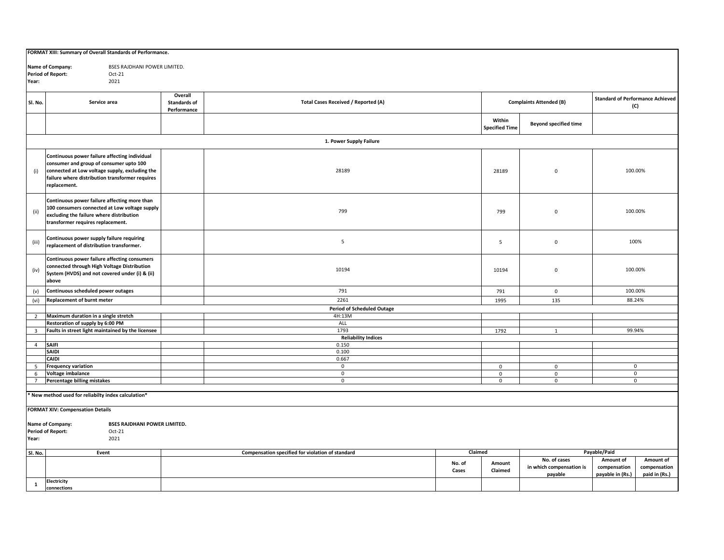| FORMAT XIII: Summary of Overall Standards of Performance. |                                                         |                                                  |                                            |                 |                       |                                |                                         |               |  |
|-----------------------------------------------------------|---------------------------------------------------------|--------------------------------------------------|--------------------------------------------|-----------------|-----------------------|--------------------------------|-----------------------------------------|---------------|--|
|                                                           |                                                         |                                                  |                                            |                 |                       |                                |                                         |               |  |
| BSES RAJDHANI POWER LIMITED.<br>Name of Company:          |                                                         |                                                  |                                            |                 |                       |                                |                                         |               |  |
| <b>Period of Report:</b><br>Oct-21                        |                                                         |                                                  |                                            |                 |                       |                                |                                         |               |  |
|                                                           | 2021<br>Year:                                           |                                                  |                                            |                 |                       |                                |                                         |               |  |
|                                                           |                                                         |                                                  |                                            |                 |                       |                                |                                         |               |  |
|                                                           |                                                         | Overall                                          |                                            |                 |                       |                                | <b>Standard of Performance Achieved</b> |               |  |
| Sl. No.                                                   | Service area                                            | Standards of                                     | <b>Total Cases Received / Reported (A)</b> |                 |                       | <b>Complaints Attended (B)</b> | (C)                                     |               |  |
|                                                           |                                                         | Performance                                      |                                            |                 |                       |                                |                                         |               |  |
|                                                           |                                                         |                                                  |                                            |                 | Within                |                                |                                         |               |  |
|                                                           |                                                         |                                                  |                                            |                 | <b>Specified Time</b> | <b>Beyond specified time</b>   |                                         |               |  |
|                                                           |                                                         |                                                  |                                            |                 |                       |                                |                                         |               |  |
|                                                           |                                                         |                                                  | 1. Power Supply Failure                    |                 |                       |                                |                                         |               |  |
|                                                           |                                                         |                                                  |                                            |                 |                       |                                |                                         |               |  |
|                                                           | Continuous power failure affecting individual           |                                                  |                                            |                 |                       |                                |                                         |               |  |
|                                                           | consumer and group of consumer upto 100                 |                                                  |                                            |                 |                       |                                |                                         |               |  |
| (i)                                                       | connected at Low voltage supply, excluding the          |                                                  | 28189                                      |                 | 28189                 | $\mathsf 0$                    | 100.00%                                 |               |  |
|                                                           | failure where distribution transformer requires         |                                                  |                                            |                 |                       |                                |                                         |               |  |
|                                                           | replacement.                                            |                                                  |                                            |                 |                       |                                |                                         |               |  |
|                                                           |                                                         |                                                  |                                            |                 |                       |                                |                                         |               |  |
|                                                           | Continuous power failure affecting more than            |                                                  |                                            |                 |                       |                                |                                         |               |  |
|                                                           | 100 consumers connected at Low voltage supply           |                                                  |                                            |                 |                       |                                |                                         |               |  |
| (ii)                                                      | excluding the failure where distribution                |                                                  | 799                                        |                 | 799                   | $\mathbf 0$                    | 100.00%                                 |               |  |
|                                                           | transformer requires replacement.                       |                                                  |                                            |                 |                       |                                |                                         |               |  |
|                                                           |                                                         |                                                  |                                            |                 |                       |                                |                                         |               |  |
|                                                           | Continuous power supply failure requiring               |                                                  |                                            |                 |                       |                                |                                         |               |  |
| (iii)                                                     | replacement of distribution transformer.                |                                                  | $\overline{\phantom{0}}$                   |                 | 5                     | $\mathbf 0$                    |                                         | 100%          |  |
|                                                           |                                                         |                                                  |                                            |                 |                       |                                |                                         |               |  |
|                                                           | Continuous power failure affecting consumers            |                                                  |                                            |                 |                       |                                |                                         |               |  |
|                                                           | connected through High Voltage Distribution             |                                                  |                                            |                 |                       |                                |                                         |               |  |
| (iv)                                                      | System (HVDS) and not covered under (i) & (ii)          |                                                  | 10194                                      |                 | 10194                 | $\mathbf 0$                    | 100.00%                                 |               |  |
|                                                           | above                                                   |                                                  |                                            |                 |                       |                                |                                         |               |  |
| (v)                                                       | Continuous scheduled power outages                      |                                                  | 791                                        |                 | 791                   | $\mathbf 0$                    | 100.00%                                 |               |  |
|                                                           |                                                         |                                                  | 2261                                       |                 |                       |                                | 88.24%                                  |               |  |
| (vi)                                                      | <b>Replacement of burnt meter</b>                       |                                                  |                                            |                 | 1995<br>135           |                                |                                         |               |  |
|                                                           |                                                         |                                                  | <b>Period of Scheduled Outage</b>          |                 |                       |                                |                                         |               |  |
| $2^{\circ}$                                               | Maximum duration in a single stretch                    |                                                  | 4H:13M                                     |                 |                       |                                |                                         |               |  |
|                                                           | Restoration of supply by 6:00 PM                        |                                                  | ALL                                        |                 |                       |                                |                                         |               |  |
| $\overline{\mathbf{3}}$                                   | Faults in street light maintained by the licensee       |                                                  | 1793                                       |                 | 1792                  | $\mathbf{1}$                   | 99.94%                                  |               |  |
| $\overline{4}$                                            | <b>SAIFI</b>                                            |                                                  | <b>Reliability Indices</b><br>0.150        |                 |                       |                                |                                         |               |  |
|                                                           | <b>SAIDI</b>                                            |                                                  |                                            |                 |                       |                                |                                         |               |  |
|                                                           | <b>CAIDI</b>                                            |                                                  | 0.100<br>0.667                             |                 |                       |                                |                                         |               |  |
| 5 <sup>5</sup>                                            | <b>Frequency variation</b>                              |                                                  | $\mathbf 0$                                |                 | $\mathbf 0$           | $\mathbf 0$                    |                                         | $\mathbf 0$   |  |
| 6                                                         | Voltage imbalance                                       |                                                  | $\mathbf 0$                                |                 | $\mathbf 0$           | $\mathbf 0$                    |                                         | $\mathbf 0$   |  |
| $7\overline{ }$                                           | Percentage billing mistakes                             |                                                  | $\overline{0}$                             |                 | $\mathbf 0$           | $\mathsf{O}\xspace$            |                                         | 0             |  |
|                                                           |                                                         |                                                  |                                            |                 |                       |                                |                                         |               |  |
|                                                           | New method used for reliabilty index calculation*       |                                                  |                                            |                 |                       |                                |                                         |               |  |
|                                                           |                                                         |                                                  |                                            |                 |                       |                                |                                         |               |  |
| <b>FORMAT XIV: Compensation Details</b>                   |                                                         |                                                  |                                            |                 |                       |                                |                                         |               |  |
|                                                           |                                                         |                                                  |                                            |                 |                       |                                |                                         |               |  |
|                                                           | Name of Company:<br><b>BSES RAJDHANI POWER LIMITED.</b> |                                                  |                                            |                 |                       |                                |                                         |               |  |
| <b>Period of Report:</b><br>Oct-21                        |                                                         |                                                  |                                            |                 |                       |                                |                                         |               |  |
| 2021<br>Year:                                             |                                                         |                                                  |                                            |                 |                       |                                |                                         |               |  |
|                                                           |                                                         |                                                  |                                            |                 |                       |                                |                                         |               |  |
| Sl. No.                                                   | Event                                                   | Compensation specified for violation of standard |                                            | Claimed         |                       |                                | Payable/Paid                            |               |  |
|                                                           |                                                         |                                                  |                                            |                 |                       | No. of cases                   | Amount of                               | Amount of     |  |
|                                                           |                                                         |                                                  |                                            | No. of<br>Cases | Amount<br>Claimed     | in which compensation is       | compensation                            | compensation  |  |
|                                                           |                                                         |                                                  |                                            |                 |                       | payable                        | payable in (Rs.)                        | paid in (Rs.) |  |
| $\mathbf{1}$                                              | <b>Electricity</b>                                      |                                                  |                                            |                 |                       |                                |                                         |               |  |
|                                                           | connections                                             |                                                  |                                            |                 |                       |                                |                                         |               |  |